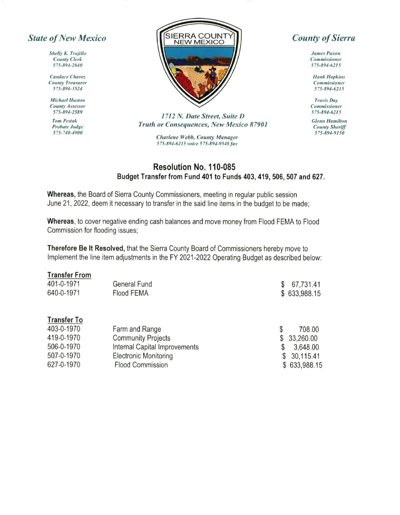## **State of New Mexico**

Shelly K. Trujillo **County Clerk** 575-894-2840

Candace Chavez **County Treasurer** 575-894-3524

**Michael Huston County Assessor** 575-894-2589

**Tom Pestak** Probate Judge 575-740-4900



1712 N. Date Street, Suite D Truth or Consequences, New Mexico 87901

> Charlene Webb, County Manager 575-894-6215 voice 575-894-9548 fax

## **County of Sierra**

**James Paxon** Commissioner 575-894-6215

**Hank Hopkins** Commissioner 575-894-6215

**Travis Day** Commissioner 575-894-6215

**Glenn Hamilton County Sheriff** 575-894-9150

## Resolution No. 110-085 Budget Transfer from Fund 401 to Funds 403, 419, 506, 507 and 627.

Whereas, the Board of Sierra County Commissioners, meeting in regular public session June 21, 2022, deem it necessary to transfer in the said line items in the budget to be made;

Whereas, to cover negative ending cash balances and move money from Flood FEMA to Flood Commission for flooding issues:

Therefore Be It Resolved, that the Sierra County Board of Commissioners hereby move to Implement the line item adjustments in the FY 2021-2022 Operating Budget as described below:

## **Transfer From**

| 401-0-1971         | <b>General Fund</b>           | S  | 67,731.41    |
|--------------------|-------------------------------|----|--------------|
| 640-0-1971         | <b>Flood FEMA</b>             |    | \$633,988.15 |
|                    |                               |    |              |
| <b>Transfer To</b> |                               |    |              |
| 403-0-1970         | Farm and Range                | \$ | 708.00       |
| 419-0-1970         | <b>Community Projects</b>     |    | 33,260.00    |
| 506-0-1970         | Internal Capital Improvements |    | 3,648.00     |
| 507-0-1970         | <b>Electronic Monitoring</b>  | \$ | 30,115.41    |
| 627-0-1970         | <b>Flood Commission</b>       |    | \$633,988.15 |
|                    |                               |    |              |